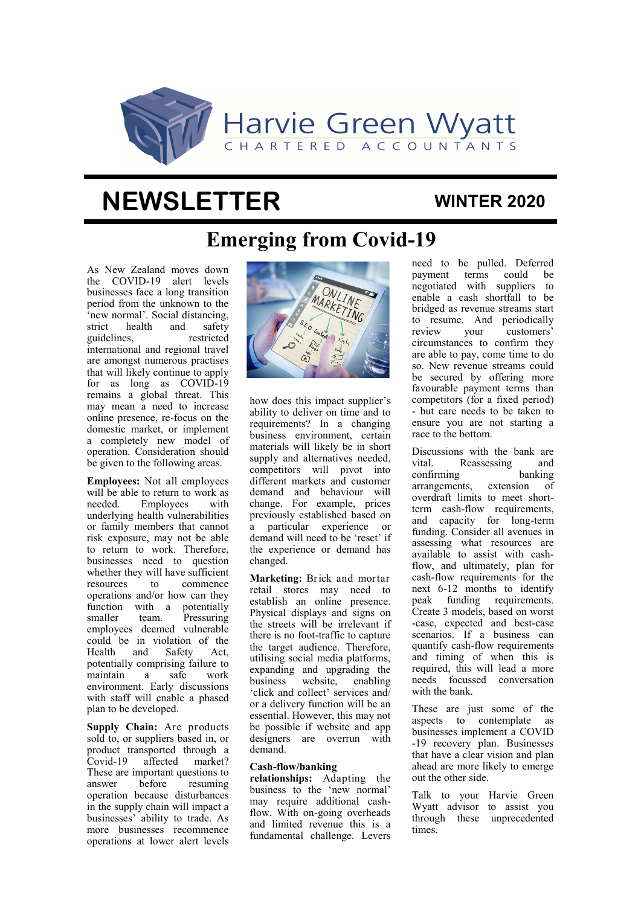

# **NEWSLETTER**

### **WINTER 2020**

# **Emerging from Covid-19**

As New Zealand moves down the COVID-19 alert levels businesses face a long transition period from the unknown to the 'new normal'. Social distancing, strict health and safety guidelines, restricted international and regional travel are amongst numerous practises that will likely continue to apply for as long as COVID-19 remains a global threat. This may mean a need to increase online presence, re-focus on the domestic market, or implement a completely new model of operation. Consideration should be given to the following areas.

**Employees:** Not all employees will be able to return to work as needed. Employees with underlying health vulnerabilities or family members that cannot risk exposure, may not be able to return to work. Therefore, businesses need to question whether they will have sufficient resources to commence operations and/or how can they function with a potentially smaller team. Pressuring employees deemed vulnerable could be in violation of the Health and Safety Act, potentially comprising failure to maintain a safe work environment. Early discussions with staff will enable a phased plan to be developed.

**Supply Chain:** Are products sold to, or suppliers based in, or product transported through a Covid-19 affected market? These are important questions to answer before resuming operation because disturbances in the supply chain will impact a businesses' ability to trade. As more businesses recommence operations at lower alert levels



how does this impact supplier's ability to deliver on time and to requirements? In a changing business environment, certain materials will likely be in short supply and alternatives needed, competitors will pivot into different markets and customer demand and behaviour will change. For example, prices previously established based on a particular experience or demand will need to be 'reset' if the experience or demand has changed.

**Marketing:** Brick and mortar retail stores may need to establish an online presence. Physical displays and signs on the streets will be irrelevant if there is no foot-traffic to capture the target audience. Therefore, utilising social media platforms, expanding and upgrading the business website, enabling 'click and collect' services and/ or a delivery function will be an essential. However, this may not be possible if website and app designers are overrun with demand.

#### **Cash-flow/banking**

**relationships:** Adapting the business to the 'new normal' may require additional cashflow. With on-going overheads and limited revenue this is a fundamental challenge. Levers

need to be pulled. Deferred payment terms could be negotiated with suppliers to enable a cash shortfall to be bridged as revenue streams start to resume. And periodically review your customers' circumstances to confirm they are able to pay, come time to do so. New revenue streams could be secured by offering more favourable payment terms than competitors (for a fixed period) - but care needs to be taken to ensure you are not starting a race to the bottom.

Discussions with the bank are vital. Reassessing and confirming banking arrangements, extension of overdraft limits to meet shortterm cash-flow requirements, and capacity for long-term funding. Consider all avenues in assessing what resources are available to assist with cashflow, and ultimately, plan for cash-flow requirements for the next 6-12 months to identify peak funding requirements. Create 3 models, based on worst -case, expected and best-case scenarios. If a business can quantify cash-flow requirements and timing of when this is required, this will lead a more needs focussed conversation with the bank.

These are just some of the aspects to contemplate as businesses implement a COVID -19 recovery plan. Businesses that have a clear vision and plan ahead are more likely to emerge out the other side.

Talk to your Harvie Green Wyatt advisor to assist you through these unprecedented times.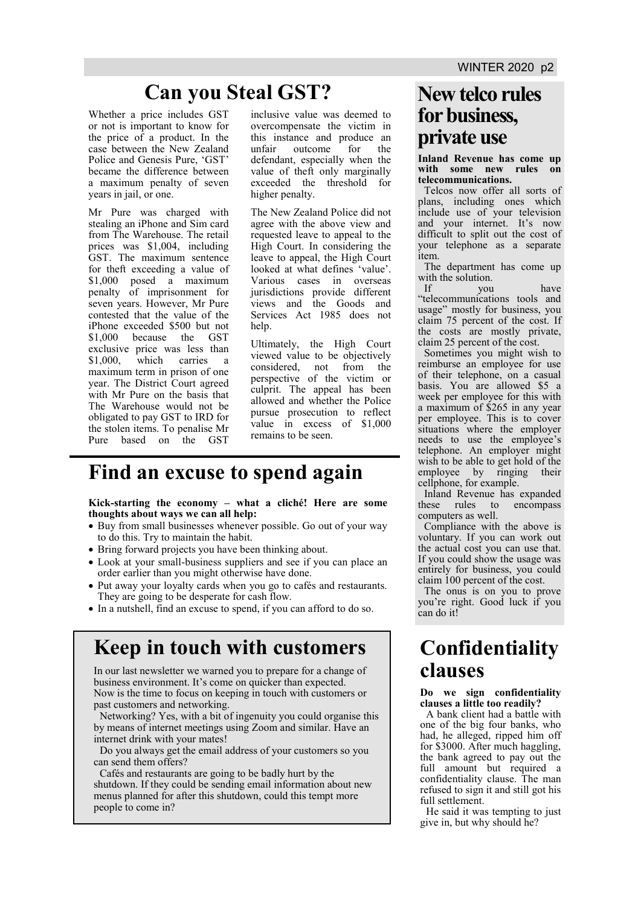# **Can you Steal GST? New telco rules**

Whether a price includes GST or not is important to know for the price of a product. In the case between the New Zealand Police and Genesis Pure, 'GST' became the difference between a maximum penalty of seven years in jail, or one.

Mr Pure was charged with stealing an iPhone and Sim card from The Warehouse. The retail prices was \$1,004, including GST. The maximum sentence for theft exceeding a value of \$1,000 posed a maximum penalty of imprisonment for seven years. However, Mr Pure contested that the value of the iPhone exceeded \$500 but not \$1,000 because the GST exclusive price was less than<br>\$1,000, which carries a \$1,000, which carries a maximum term in prison of one year. The District Court agreed with Mr Pure on the basis that The Warehouse would not be obligated to pay GST to IRD for the stolen items. To penalise Mr Pure based on the GST

inclusive value was deemed to overcompensate the victim in this instance and produce an unfair outcome for the defendant, especially when the value of theft only marginally exceeded the threshold for higher penalty.

The New Zealand Police did not agree with the above view and requested leave to appeal to the High Court. In considering the leave to appeal, the High Court looked at what defines 'value'. Various cases in overseas jurisdictions provide different views and the Goods and Services Act 1985 does not help.

Ultimately, the High Court viewed value to be objectively considered, not from the perspective of the victim or culprit. The appeal has been allowed and whether the Police pursue prosecution to reflect value in excess of \$1,000 remains to be seen.

### **Find an excuse to spend again**

#### **Kick-starting the economy – what a cliché! Here are some thoughts about ways we can all help:**

- Buy from small businesses whenever possible. Go out of your way to do this. Try to maintain the habit.
- Bring forward projects you have been thinking about.
- Look at your small-business suppliers and see if you can place an order earlier than you might otherwise have done.
- Put away your loyalty cards when you go to cafés and restaurants. They are going to be desperate for cash flow.
- In a nutshell, find an excuse to spend, if you can afford to do so.

# **Keep in touch with customers**

In our last newsletter we warned you to prepare for a change of business environment. It's come on quicker than expected. Now is the time to focus on keeping in touch with customers or past customers and networking.

Networking? Yes, with a bit of ingenuity you could organise this by means of internet meetings using Zoom and similar. Have an internet drink with your mates!

Do you always get the email address of your customers so you can send them offers?

Cafés and restaurants are going to be badly hurt by the shutdown. If they could be sending email information about new menus planned for after this shutdown, could this tempt more people to come in?

# **for business, private use**

**Inland Revenue has come up with some new rules on telecommunications.** 

Telcos now offer all sorts of plans, including ones which include use of your television and your internet. It's now difficult to split out the cost of your telephone as a separate item.

The department has come up with the solution.

If you have "telecommunications tools and usage" mostly for business, you claim 75 percent of the cost. If the costs are mostly private, claim 25 percent of the cost.

Sometimes you might wish to reimburse an employee for use of their telephone, on a casual basis. You are allowed \$5 a week per employee for this with a maximum of \$265 in any year per employee. This is to cover situations where the employer needs to use the employee's telephone. An employer might wish to be able to get hold of the employee by ringing their cellphone, for example.

Inland Revenue has expanded these rules to encompass computers as well.

Compliance with the above is voluntary. If you can work out the actual cost you can use that. If you could show the usage was entirely for business, you could claim 100 percent of the cost.

The onus is on you to prove you're right. Good luck if you can do it!

## **Confidentiality clauses**

#### **Do we sign confidentiality clauses a little too readily?**

A bank client had a battle with one of the big four banks, who had, he alleged, ripped him off for \$3000. After much haggling, the bank agreed to pay out the full amount but required a confidentiality clause. The man refused to sign it and still got his full settlement.

He said it was tempting to just give in, but why should he?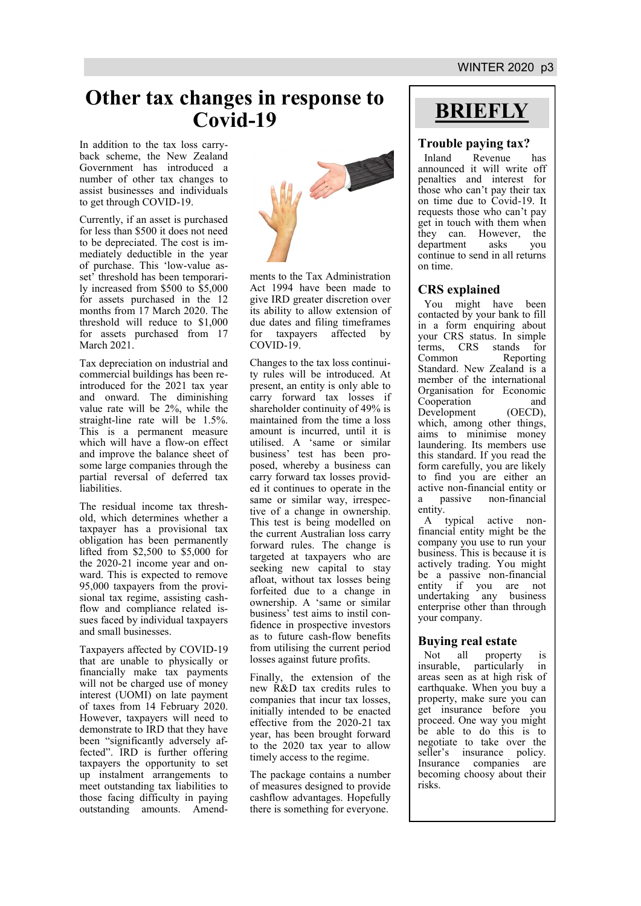## **Other tax changes in response to Covid-19**

In addition to the tax loss carryback scheme, the New Zealand Government has introduced a number of other tax changes to assist businesses and individuals to get through COVID-19.

Currently, if an asset is purchased for less than \$500 it does not need to be depreciated. The cost is immediately deductible in the year of purchase. This 'low-value asset' threshold has been temporarily increased from \$500 to \$5,000 for assets purchased in the 12 months from 17 March 2020. The threshold will reduce to \$1,000 for assets purchased from 17 March 2021.

Tax depreciation on industrial and commercial buildings has been reintroduced for the 2021 tax year and onward. The diminishing value rate will be 2%, while the straight-line rate will be 1.5%. This is a permanent measure which will have a flow-on effect and improve the balance sheet of some large companies through the partial reversal of deferred tax liabilities.

The residual income tax threshold, which determines whether a taxpayer has a provisional tax obligation has been permanently lifted from \$2,500 to \$5,000 for the 2020-21 income year and onward. This is expected to remove 95,000 taxpayers from the provisional tax regime, assisting cashflow and compliance related issues faced by individual taxpayers and small businesses.

Taxpayers affected by COVID-19 that are unable to physically or financially make tax payments will not be charged use of money interest (UOMI) on late payment of taxes from 14 February 2020. However, taxpayers will need to demonstrate to IRD that they have been "significantly adversely affected". IRD is further offering taxpayers the opportunity to set up instalment arrangements to meet outstanding tax liabilities to those facing difficulty in paying outstanding amounts. Amend-



ments to the Tax Administration Act 1994 have been made to give IRD greater discretion over its ability to allow extension of due dates and filing timeframes for taxpayers affected by COVID-19.

Changes to the tax loss continuity rules will be introduced. At present, an entity is only able to carry forward tax losses if shareholder continuity of 49% is maintained from the time a loss amount is incurred, until it is utilised. A 'same or similar business' test has been proposed, whereby a business can carry forward tax losses provided it continues to operate in the same or similar way, irrespective of a change in ownership. This test is being modelled on the current Australian loss carry forward rules. The change is targeted at taxpayers who are seeking new capital to stay afloat, without tax losses being forfeited due to a change in ownership. A 'same or similar business' test aims to instil confidence in prospective investors as to future cash-flow benefits from utilising the current period losses against future profits.

Finally, the extension of the new R&D tax credits rules to companies that incur tax losses, initially intended to be enacted effective from the 2020-21 tax year, has been brought forward to the 2020 tax year to allow timely access to the regime.

The package contains a number of measures designed to provide cashflow advantages. Hopefully there is something for everyone.

# **BRIEFLY**

#### **Trouble paying tax?**

Inland Revenue has announced it will write off penalties and interest for those who can't pay their tax on time due to Covid-19. It requests those who can't pay get in touch with them when they can. However, the department asks you department asks you continue to send in all returns on time.

#### **CRS explained**

You might have been contacted by your bank to fill in a form enquiring about your CRS status. In simple<br>terms, CRS stands for terms, CRS Common Reporting Standard. New Zealand is a member of the international Organisation for Economic Cooperation and<br>Development (OECD), Development which, among other things, aims to minimise money laundering. Its members use this standard. If you read the form carefully, you are likely to find you are either an active non-financial entity or a passive non-financial entity.

A typical active nonfinancial entity might be the company you use to run your business. This is because it is actively trading. You might be a passive non-financial entity if you are not undertaking any business enterprise other than through your company.

#### **Buying real estate**

Not all property is insurable, particularly in areas seen as at high risk of earthquake. When you buy a property, make sure you can get insurance before you proceed. One way you might be able to do this is to negotiate to take over the seller's insurance policy. Insurance companies are becoming choosy about their risks.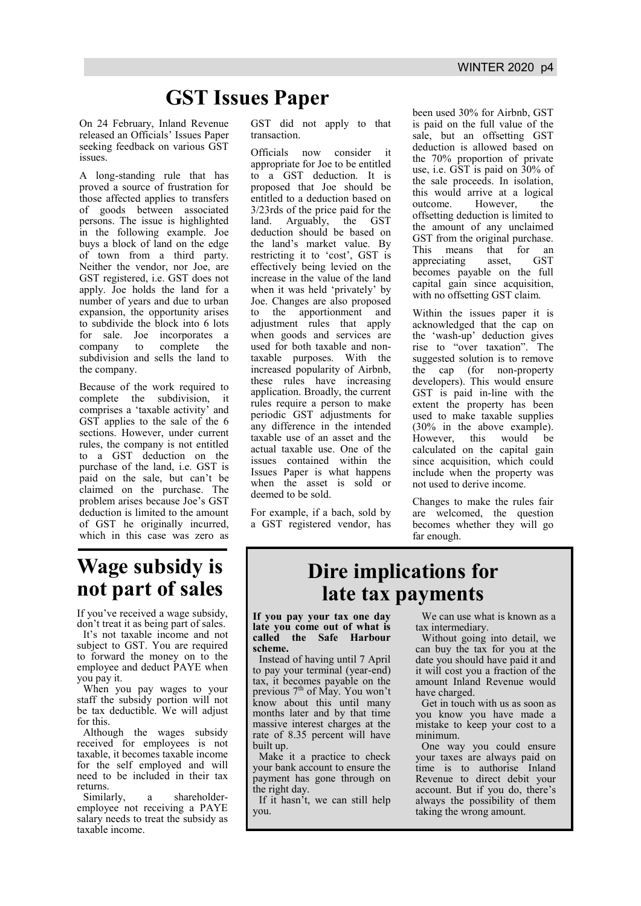# **GST Issues Paper**

On 24 February, Inland Revenue released an Officials' Issues Paper seeking feedback on various GST issues.

A long-standing rule that has proved a source of frustration for those affected applies to transfers of goods between associated persons. The issue is highlighted in the following example. Joe buys a block of land on the edge of town from a third party. Neither the vendor, nor Joe, are GST registered, i.e. GST does not apply. Joe holds the land for a number of years and due to urban expansion, the opportunity arises to subdivide the block into 6 lots for sale. Joe incorporates a company to complete the subdivision and sells the land to the company.

Because of the work required to complete the subdivision, it comprises a 'taxable activity' and GST applies to the sale of the 6 sections. However, under current rules, the company is not entitled to a GST deduction on the purchase of the land, i.e. GST is paid on the sale, but can't be claimed on the purchase. The problem arises because Joe's GST deduction is limited to the amount of GST he originally incurred, which in this case was zero as

# **Wage subsidy is not part of sales**

If you've received a wage subsidy. don't treat it as being part of sales.

It's not taxable income and not subject to GST. You are required to forward the money on to the employee and deduct PAYE when you pay it.

When you pay wages to your staff the subsidy portion will not be tax deductible. We will adjust for this.

Although the wages subsidy received for employees is not taxable, it becomes taxable income for the self employed and will need to be included in their tax returns.

Similarly, a shareholderemployee not receiving a PAYE salary needs to treat the subsidy as taxable income.

GST did not apply to that transaction.

Officials now consider it appropriate for Joe to be entitled to a GST deduction. It is proposed that Joe should be entitled to a deduction based on 3/23rds of the price paid for the land. Arguably, the GST deduction should be based on the land's market value. By restricting it to 'cost', GST is effectively being levied on the increase in the value of the land when it was held 'privately' by Joe. Changes are also proposed to the apportionment and adjustment rules that apply when goods and services are used for both taxable and nontaxable purposes. With the increased popularity of Airbnb, these rules have increasing application. Broadly, the current rules require a person to make periodic GST adjustments for any difference in the intended taxable use of an asset and the actual taxable use. One of the issues contained within the Issues Paper is what happens when the asset is sold or deemed to be sold.

For example, if a bach, sold by a GST registered vendor, has been used 30% for Airbnb, GST is paid on the full value of the sale, but an offsetting GST deduction is allowed based on the 70% proportion of private use, i.e. GST is paid on 30% of the sale proceeds. In isolation, this would arrive at a logical outcome. However, the offsetting deduction is limited to the amount of any unclaimed GST from the original purchase. This means that for an appreciating asset, GST becomes payable on the full capital gain since acquisition, with no offsetting GST claim.

Within the issues paper it is acknowledged that the cap on the 'wash-up' deduction gives rise to "over taxation". The suggested solution is to remove the cap (for non-property developers). This would ensure GST is paid in-line with the extent the property has been used to make taxable supplies (30% in the above example). However, this would be calculated on the capital gain since acquisition, which could include when the property was not used to derive income.

Changes to make the rules fair are welcomed, the question becomes whether they will go far enough.

# **Dire implications for late tax payments**

**If you pay your tax one day late you come out of what is called the Safe Harbour scheme.** 

Instead of having until 7 April to pay your terminal (year-end) tax, it becomes payable on the previous 7<sup>th</sup> of May. You won't know about this until many months later and by that time massive interest charges at the rate of 8.35 percent will have built up.

Make it a practice to check your bank account to ensure the payment has gone through on the right day.

If it hasn't, we can still help you.

We can use what is known as a tax intermediary.

Without going into detail, we can buy the tax for you at the date you should have paid it and it will cost you a fraction of the amount Inland Revenue would have charged.

Get in touch with us as soon as you know you have made a mistake to keep your cost to a minimum.

One way you could ensure your taxes are always paid on time is to authorise Inland Revenue to direct debit your account. But if you do, there's always the possibility of them taking the wrong amount.